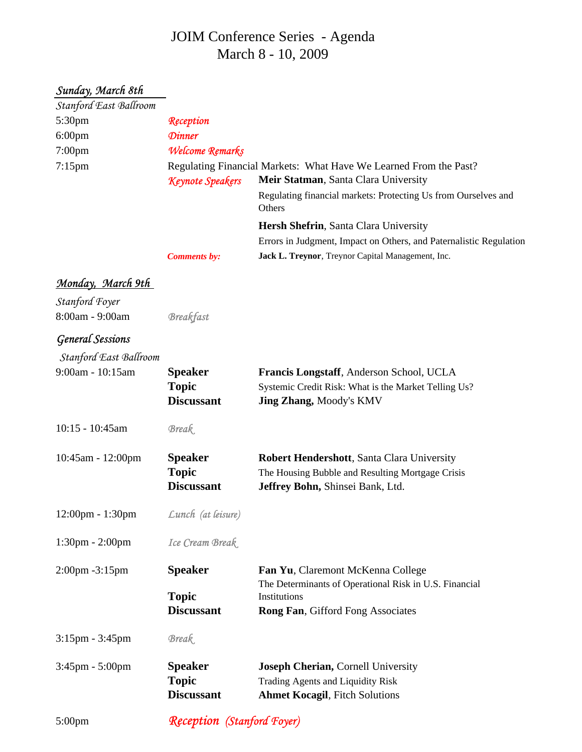## JOIM Conference Series - Agenda March 8 - 10, 2009

## *Sunday, March 8th*

| Stanford East Ballroom            |                         |                                                                                                           |
|-----------------------------------|-------------------------|-----------------------------------------------------------------------------------------------------------|
| 5:30pm                            | Reception               |                                                                                                           |
| $6:00$ pm                         | <b>Dinner</b>           |                                                                                                           |
| $7:00$ pm                         | Welcome Remarks         |                                                                                                           |
| $7:15$ pm                         | <b>Keynote Speakers</b> | Regulating Financial Markets: What Have We Learned From the Past?<br>Meir Statman, Santa Clara University |
|                                   |                         | Regulating financial markets: Protecting Us from Ourselves and<br>Others                                  |
|                                   |                         | Hersh Shefrin, Santa Clara University                                                                     |
|                                   |                         | Errors in Judgment, Impact on Others, and Paternalistic Regulation                                        |
|                                   | <b>Comments by:</b>     | Jack L. Treynor, Treynor Capital Management, Inc.                                                         |
| <u>Monday, March 9th</u>          |                         |                                                                                                           |
| Stanford Foyer                    |                         |                                                                                                           |
| 8:00am - 9:00am                   | <b>Breakfast</b>        |                                                                                                           |
| <b>General Sessions</b>           |                         |                                                                                                           |
| Stanford East Ballroom            |                         |                                                                                                           |
| 9:00am - 10:15am                  | <b>Speaker</b>          | Francis Longstaff, Anderson School, UCLA                                                                  |
|                                   | <b>Topic</b>            | Systemic Credit Risk: What is the Market Telling Us?                                                      |
|                                   | <b>Discussant</b>       | <b>Jing Zhang, Moody's KMV</b>                                                                            |
| 10:15 - 10:45am                   | <b>Break</b>            |                                                                                                           |
| 10:45am - 12:00pm                 | <b>Speaker</b>          | Robert Hendershott, Santa Clara University                                                                |
|                                   | <b>Topic</b>            | The Housing Bubble and Resulting Mortgage Crisis                                                          |
|                                   | <b>Discussant</b>       | Jeffrey Bohn, Shinsei Bank, Ltd.                                                                          |
| 12:00pm - 1:30pm                  | Lunch (at leisure)      |                                                                                                           |
| $1:30 \text{pm} - 2:00 \text{pm}$ | Ice Cream Break         |                                                                                                           |
| 2:00pm -3:15pm                    | <b>Speaker</b>          | Fan Yu, Claremont McKenna College<br>The Determinants of Operational Risk in U.S. Financial               |
|                                   | <b>Topic</b>            | Institutions                                                                                              |
|                                   | <b>Discussant</b>       | Rong Fan, Gifford Fong Associates                                                                         |
| $3:15$ pm - $3:45$ pm             | <b>Break</b>            |                                                                                                           |
| $3:45$ pm - $5:00$ pm             | <b>Speaker</b>          | Joseph Cherian, Cornell University                                                                        |
|                                   | <b>Topic</b>            | Trading Agents and Liquidity Risk                                                                         |
|                                   | <b>Discussant</b>       | <b>Ahmet Kocagil</b> , Fitch Solutions                                                                    |
|                                   |                         |                                                                                                           |

5:00pm

*Reception (Stanford Foyer)*